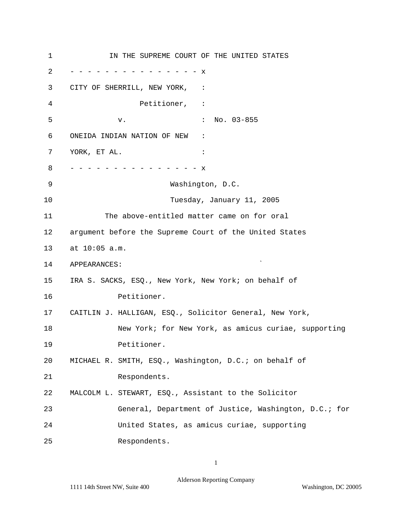1 2 3 4 5 6 7 8 9 10 11 12 13 14 15 16 17 18 19 20 21 22 23 24 25 IN THE SUPREME COURT OF THE UNITED STATES - - - - - - - - - - - - - - - x CITY OF SHERRILL, NEW YORK, : Petitioner, : v. : No. 03-855 ONEIDA INDIAN NATION OF NEW : YORK, ET AL.  $\qquad \qquad :$ - - - - - - - - - - - - - - - x Washington, D.C. Tuesday, January 11, 2005 The above-entitled matter came on for oral argument before the Supreme Court of the United States at 10:05 a.m. APPEARANCES: IRA S. SACKS, ESQ., New York, New York; on behalf of Petitioner. CAITLIN J. HALLIGAN, ESQ., Solicitor General, New York, New York; for New York, as amicus curiae, supporting Petitioner. MICHAEL R. SMITH, ESQ., Washington, D.C.; on behalf of Respondents. MALCOLM L. STEWART, ESQ., Assistant to the Solicitor General, Department of Justice, Washington, D.C.; for United States, as amicus curiae, supporting Respondents.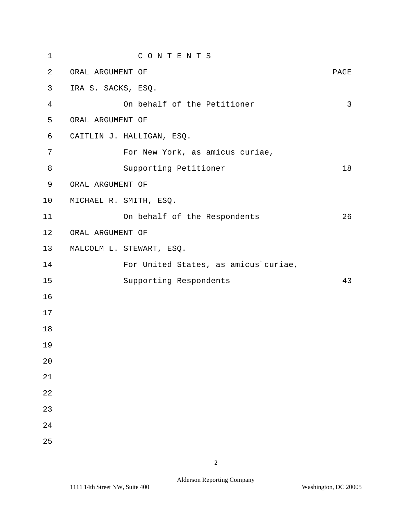| $\mathbf 1$    | CONTENTS                             |      |
|----------------|--------------------------------------|------|
| 2              | ORAL ARGUMENT OF                     | PAGE |
| 3              | IRA S. SACKS, ESQ.                   |      |
| $\overline{4}$ | On behalf of the Petitioner          | 3    |
| 5              | ORAL ARGUMENT OF                     |      |
| 6              | CAITLIN J. HALLIGAN, ESQ.            |      |
| 7              | For New York, as amicus curiae,      |      |
| 8              | Supporting Petitioner                | 18   |
| 9              | ORAL ARGUMENT OF                     |      |
| 10             | MICHAEL R. SMITH, ESQ.               |      |
| 11             | On behalf of the Respondents         | 26   |
| 12             | ORAL ARGUMENT OF                     |      |
| 13             | MALCOLM L. STEWART, ESQ.             |      |
| 14             | For United States, as amicus curiae, |      |
| 15             | Supporting Respondents               | 43   |
| 16             |                                      |      |
| 17             |                                      |      |
| 18             |                                      |      |
| 19             |                                      |      |
| 20             |                                      |      |
| 21             |                                      |      |
| 22             |                                      |      |
| 23             |                                      |      |
| 24             |                                      |      |
| 25             |                                      |      |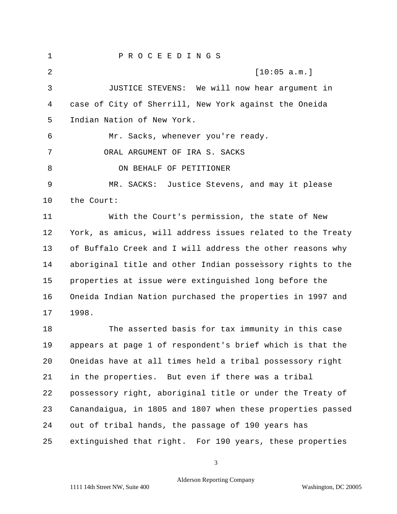1 P R O C E E D I N G S 2 [10:05 a.m.] 3 JUSTICE STEVENS: We will now hear argument in 4 case of City of Sherrill, New York against the Oneida 5 Indian Nation of New York. 6 Mr. Sacks, whenever you're ready. 7 ORAL ARGUMENT OF IRA S. SACKS 8 ON BEHALF OF PETITIONER 9 MR. SACKS: Justice Stevens, and may it please 10 the Court: 11 With the Court's permission, the state of New 12 York, as amicus, will address issues related to the Treaty 13 of Buffalo Creek and I will address the other reasons why 14 aboriginal title and other Indian possessory rights to the 15 properties at issue were extinguished long before the 16 Oneida Indian Nation purchased the properties in 1997 and 17 1998. 18 The asserted basis for tax immunity in this case 19 appears at page 1 of respondent's brief which is that the 20 Oneidas have at all times held a tribal possessory right 21 in the properties. But even if there was a tribal 22 possessory right, aboriginal title or under the Treaty of 23 Canandaigua, in 1805 and 1807 when these properties passed 24 out of tribal hands, the passage of 190 years has 25 extinguished that right. For 190 years, these properties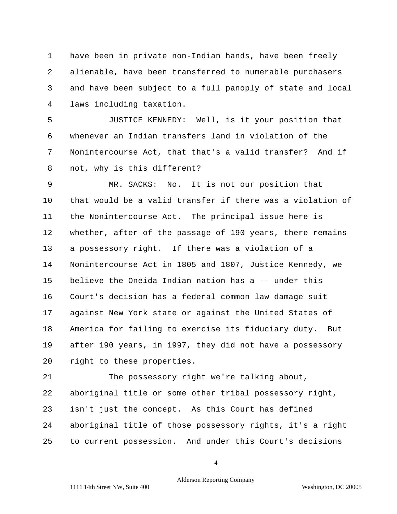1 have been in private non-Indian hands, have been freely 2 alienable, have been transferred to numerable purchasers 3 and have been subject to a full panoply of state and local 4 laws including taxation.

5 JUSTICE KENNEDY: Well, is it your position that 6 whenever an Indian transfers land in violation of the 7 Nonintercourse Act, that that's a valid transfer? And if 8 not, why is this different?

9 MR. SACKS: No. It is not our position that 10 that would be a valid transfer if there was a violation of 11 the Nonintercourse Act. The principal issue here is 12 whether, after of the passage of 190 years, there remains 13 a possessory right. If there was a violation of a 14 Nonintercourse Act in 1805 and 1807, Justice Kennedy, we 15 believe the Oneida Indian nation has a -- under this 16 Court's decision has a federal common law damage suit 17 against New York state or against the United States of 18 America for failing to exercise its fiduciary duty. But 19 after 190 years, in 1997, they did not have a possessory 20 right to these properties.

21 The possessory right we're talking about, 22 aboriginal title or some other tribal possessory right, 23 isn't just the concept. As this Court has defined 24 aboriginal title of those possessory rights, it's a right 25 to current possession. And under this Court's decisions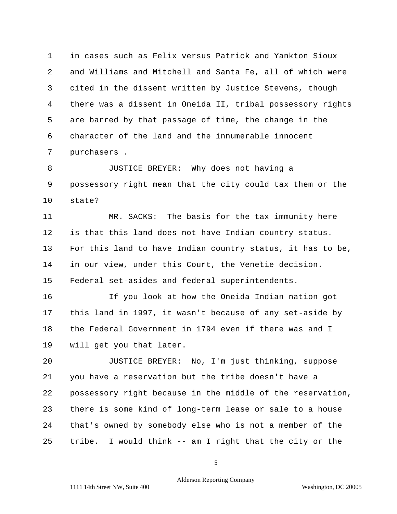1 in cases such as Felix versus Patrick and Yankton Sioux 2 and Williams and Mitchell and Santa Fe, all of which were 3 cited in the dissent written by Justice Stevens, though 4 there was a dissent in Oneida II, tribal possessory rights 5 are barred by that passage of time, the change in the 6 character of the land and the innumerable innocent 7 purchasers .

8 JUSTICE BREYER: Why does not having a 9 possessory right mean that the city could tax them or the 10 state?

11 MR. SACKS: The basis for the tax immunity here 12 is that this land does not have Indian country status. 13 For this land to have Indian country status, it has to be, 14 15 Federal set-asides and federal superintendents. in our view, under this Court, the Venetie decision.

16 If you look at how the Oneida Indian nation got 17 this land in 1997, it wasn't because of any set-aside by 18 the Federal Government in 1794 even if there was and I 19 will get you that later.

20 JUSTICE BREYER: No, I'm just thinking, suppose 21 you have a reservation but the tribe doesn't have a 22 possessory right because in the middle of the reservation, 23 there is some kind of long-term lease or sale to a house 24 that's owned by somebody else who is not a member of the 25 tribe. I would think -- am I right that the city or the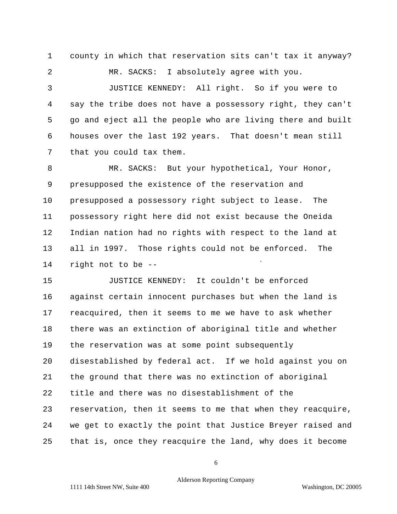1 county in which that reservation sits can't tax it anyway? 2 MR. SACKS: I absolutely agree with you.

3 JUSTICE KENNEDY: All right. So if you were to 4 say the tribe does not have a possessory right, they can't 5 go and eject all the people who are living there and built 6 houses over the last 192 years. That doesn't mean still 7 that you could tax them.

8 MR. SACKS: But your hypothetical, Your Honor, 9 presupposed the existence of the reservation and 10 presupposed a possessory right subject to lease. The 11 possessory right here did not exist because the Oneida 12 Indian nation had no rights with respect to the land at 13 all in 1997. Those rights could not be enforced. The 14 right not to be -

15 JUSTICE KENNEDY: It couldn't be enforced 16 against certain innocent purchases but when the land is 17 reacquired, then it seems to me we have to ask whether 18 there was an extinction of aboriginal title and whether 19 the reservation was at some point subsequently 20 disestablished by federal act. If we hold against you on 21 the ground that there was no extinction of aboriginal 22 title and there was no disestablishment of the 23 reservation, then it seems to me that when they reacquire, 24 we get to exactly the point that Justice Breyer raised and 25 that is, once they reacquire the land, why does it become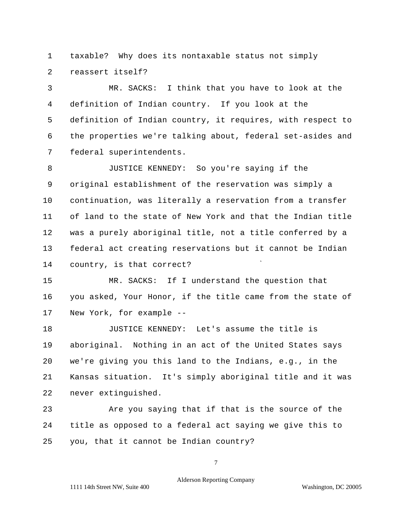1 taxable? Why does its nontaxable status not simply 2 reassert itself?

3 MR. SACKS: I think that you have to look at the 4 definition of Indian country. If you look at the 5 definition of Indian country, it requires, with respect to 6 the properties we're talking about, federal set-asides and 7 federal superintendents.

8 JUSTICE KENNEDY: So you're saying if the 9 original establishment of the reservation was simply a 10 continuation, was literally a reservation from a transfer 11 of land to the state of New York and that the Indian title 12 was a purely aboriginal title, not a title conferred by a 13 federal act creating reservations but it cannot be Indian 14 country, is that correct?

15 MR. SACKS: If I understand the question that 16 you asked, Your Honor, if the title came from the state of 17 New York, for example --

18 JUSTICE KENNEDY: Let's assume the title is 19 aboriginal. Nothing in an act of the United States says 20 we're giving you this land to the Indians, e.g., in the 21 Kansas situation. It's simply aboriginal title and it was 22 never extinguished.

23 Are you saying that if that is the source of the 24 title as opposed to a federal act saying we give this to 25 you, that it cannot be Indian country?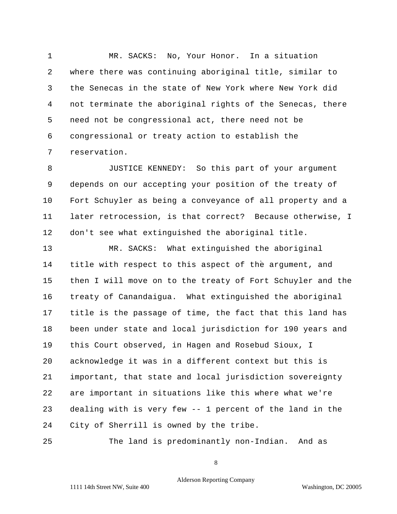1 MR. SACKS: No, Your Honor. In a situation 2 where there was continuing aboriginal title, similar to 3 the Senecas in the state of New York where New York did 4 not terminate the aboriginal rights of the Senecas, there 5 need not be congressional act, there need not be 6 congressional or treaty action to establish the 7 reservation.

8 JUSTICE KENNEDY: So this part of your argument 9 depends on our accepting your position of the treaty of 10 Fort Schuyler as being a conveyance of all property and a 11 later retrocession, is that correct? Because otherwise, I 12 don't see what extinguished the aboriginal title.

13 MR. SACKS: What extinguished the aboriginal 14 title with respect to this aspect of the argument, and 15 then I will move on to the treaty of Fort Schuyler and the 16 treaty of Canandaigua. What extinguished the aboriginal 17 title is the passage of time, the fact that this land has 18 been under state and local jurisdiction for 190 years and 19 this Court observed, in Hagen and Rosebud Sioux, I 20 acknowledge it was in a different context but this is 21 important, that state and local jurisdiction sovereignty 22 are important in situations like this where what we're 23 dealing with is very few -- 1 percent of the land in the 24 City of Sherrill is owned by the tribe.

25 The land is predominantly non-Indian. And as

8

Alderson Reporting Company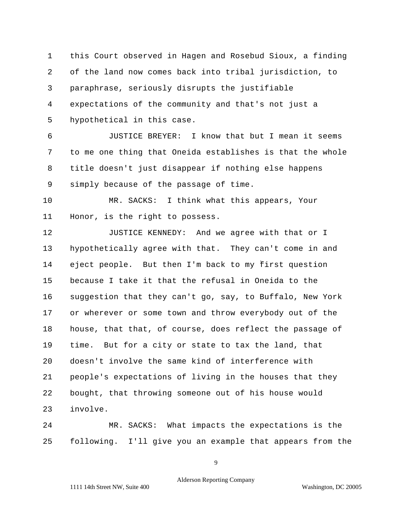1 this Court observed in Hagen and Rosebud Sioux, a finding 2 of the land now comes back into tribal jurisdiction, to 3 paraphrase, seriously disrupts the justifiable 4 expectations of the community and that's not just a 5 hypothetical in this case.

6 JUSTICE BREYER: I know that but I mean it seems 7 to me one thing that Oneida establishes is that the whole 8 title doesn't just disappear if nothing else happens 9 simply because of the passage of time.

10 MR. SACKS: I think what this appears, Your 11 Honor, is the right to possess.

12 JUSTICE KENNEDY: And we agree with that or I 13 hypothetically agree with that. They can't come in and 14 eject people. But then I'm back to my first question 15 because I take it that the refusal in Oneida to the 16 suggestion that they can't go, say, to Buffalo, New York 17 or wherever or some town and throw everybody out of the 18 house, that that, of course, does reflect the passage of 19 time. But for a city or state to tax the land, that 20 doesn't involve the same kind of interference with 21 people's expectations of living in the houses that they 22 bought, that throwing someone out of his house would 23 involve.

24 MR. SACKS: What impacts the expectations is the 25 following. I'll give you an example that appears from the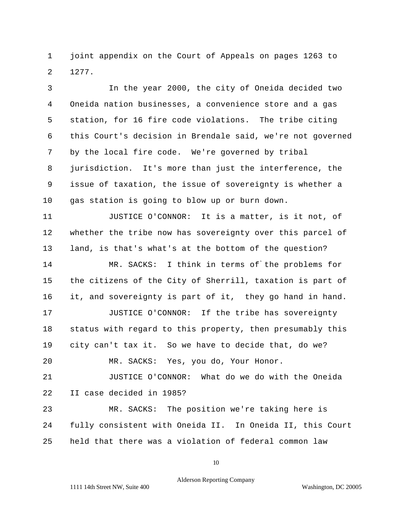1 joint appendix on the Court of Appeals on pages 1263 to 2 1277.

3 In the year 2000, the city of Oneida decided two 4 Oneida nation businesses, a convenience store and a gas 5 station, for 16 fire code violations. The tribe citing 6 this Court's decision in Brendale said, we're not governed 7 by the local fire code. We're governed by tribal 8 jurisdiction. It's more than just the interference, the 9 issue of taxation, the issue of sovereignty is whether a 10 gas station is going to blow up or burn down.

11 JUSTICE O'CONNOR: It is a matter, is it not, of 12 whether the tribe now has sovereignty over this parcel of 13 land, is that's what's at the bottom of the question?

14 MR. SACKS: I think in terms of the problems for 15 the citizens of the City of Sherrill, taxation is part of 16 it, and sovereignty is part of it, they go hand in hand.

17 JUSTICE O'CONNOR: If the tribe has sovereignty 18 status with regard to this property, then presumably this 19 city can't tax it. So we have to decide that, do we?

20 MR. SACKS: Yes, you do, Your Honor.

21 JUSTICE O'CONNOR: What do we do with the Oneida 22 II case decided in 1985?

23 MR. SACKS: The position we're taking here is 24 fully consistent with Oneida II. In Oneida II, this Court 25 held that there was a violation of federal common law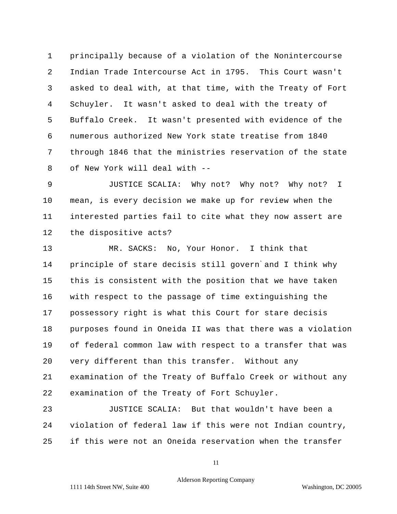1 principally because of a violation of the Nonintercourse 2 Indian Trade Intercourse Act in 1795. This Court wasn't 3 asked to deal with, at that time, with the Treaty of Fort 4 Schuyler. It wasn't asked to deal with the treaty of 5 Buffalo Creek. It wasn't presented with evidence of the 6 numerous authorized New York state treatise from 1840 7 through 1846 that the ministries reservation of the state 8 of New York will deal with --

9 JUSTICE SCALIA: Why not? Why not? Why not? I 10 mean, is every decision we make up for review when the 11 interested parties fail to cite what they now assert are 12 the dispositive acts?

13 MR. SACKS: No, Your Honor. I think that 14 principle of stare decisis still govern and I think why 15 this is consistent with the position that we have taken 16 with respect to the passage of time extinguishing the 17 possessory right is what this Court for stare decisis 18 purposes found in Oneida II was that there was a violation 19 of federal common law with respect to a transfer that was 20 very different than this transfer. Without any 21 examination of the Treaty of Buffalo Creek or without any 22 examination of the Treaty of Fort Schuyler.

23 JUSTICE SCALIA: But that wouldn't have been a 24 violation of federal law if this were not Indian country, 25 if this were not an Oneida reservation when the transfer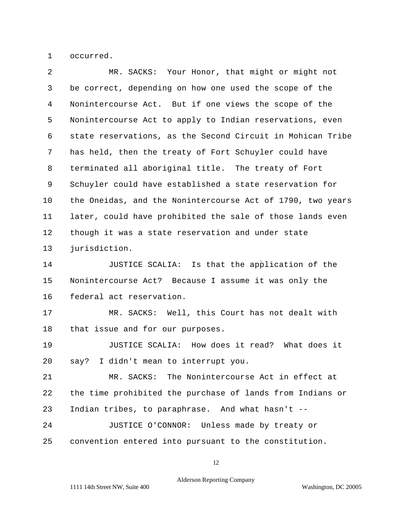1 occurred.

| 2  | MR. SACKS: Your Honor, that might or might not             |  |  |  |  |  |  |
|----|------------------------------------------------------------|--|--|--|--|--|--|
| 3  | be correct, depending on how one used the scope of the     |  |  |  |  |  |  |
| 4  | Nonintercourse Act. But if one views the scope of the      |  |  |  |  |  |  |
| 5  | Nonintercourse Act to apply to Indian reservations, even   |  |  |  |  |  |  |
| 6  | state reservations, as the Second Circuit in Mohican Tribe |  |  |  |  |  |  |
| 7  | has held, then the treaty of Fort Schuyler could have      |  |  |  |  |  |  |
| 8  | terminated all aboriginal title. The treaty of Fort        |  |  |  |  |  |  |
| 9  | Schuyler could have established a state reservation for    |  |  |  |  |  |  |
| 10 | the Oneidas, and the Nonintercourse Act of 1790, two years |  |  |  |  |  |  |
| 11 | later, could have prohibited the sale of those lands even  |  |  |  |  |  |  |
| 12 | though it was a state reservation and under state          |  |  |  |  |  |  |
| 13 | jurisdiction.                                              |  |  |  |  |  |  |
| 14 | JUSTICE SCALIA: Is that the application of the             |  |  |  |  |  |  |
| 15 | Nonintercourse Act? Because I assume it was only the       |  |  |  |  |  |  |
| 16 | federal act reservation.                                   |  |  |  |  |  |  |
| 17 | MR. SACKS: Well, this Court has not dealt with             |  |  |  |  |  |  |
| 18 | that issue and for our purposes.                           |  |  |  |  |  |  |
| 19 | JUSTICE SCALIA: How does it read? What does it             |  |  |  |  |  |  |
| 20 | say? I didn't mean to interrupt you.                       |  |  |  |  |  |  |
| 21 | MR. SACKS: The Nonintercourse Act in effect at             |  |  |  |  |  |  |
| 22 | the time prohibited the purchase of lands from Indians or  |  |  |  |  |  |  |
| 23 | Indian tribes, to paraphrase. And what hasn't --           |  |  |  |  |  |  |
| 24 | JUSTICE O'CONNOR: Unless made by treaty or                 |  |  |  |  |  |  |
| 25 | convention entered into pursuant to the constitution.      |  |  |  |  |  |  |
|    |                                                            |  |  |  |  |  |  |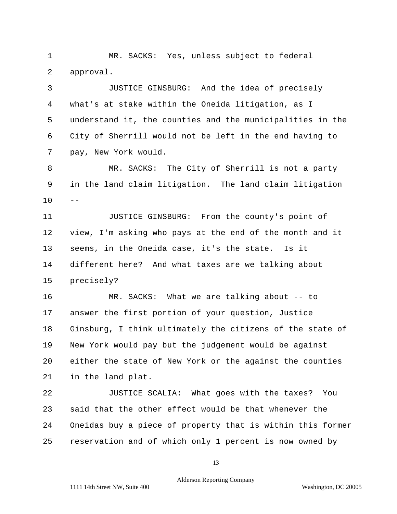1 MR. SACKS: Yes, unless subject to federal 2 approval.

3 JUSTICE GINSBURG: And the idea of precisely 4 what's at stake within the Oneida litigation, as I 5 understand it, the counties and the municipalities in the 6 City of Sherrill would not be left in the end having to 7 pay, New York would.

8 MR. SACKS: The City of Sherrill is not a party 9 in the land claim litigation. The land claim litigation  $10$ 

11 JUSTICE GINSBURG: From the county's point of 12 view, I'm asking who pays at the end of the month and it 13 seems, in the Oneida case, it's the state. Is it 14 different here? And what taxes are we talking about 15 precisely?

16 MR. SACKS: What we are talking about -- to 17 answer the first portion of your question, Justice 18 Ginsburg, I think ultimately the citizens of the state of 19 New York would pay but the judgement would be against 20 either the state of New York or the against the counties 21 in the land plat.

22 JUSTICE SCALIA: What goes with the taxes? You 23 said that the other effect would be that whenever the 24 Oneidas buy a piece of property that is within this former 25 reservation and of which only 1 percent is now owned by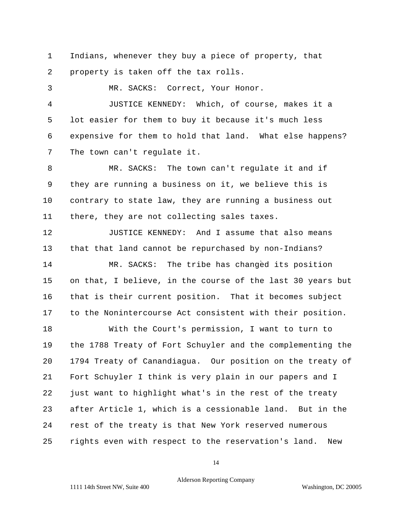1 Indians, whenever they buy a piece of property, that 2 property is taken off the tax rolls.

3 MR. SACKS: Correct, Your Honor.

4 JUSTICE KENNEDY: Which, of course, makes it a 5 lot easier for them to buy it because it's much less 6 expensive for them to hold that land. What else happens? 7 The town can't regulate it.

8 MR. SACKS: The town can't regulate it and if 9 they are running a business on it, we believe this is 10 contrary to state law, they are running a business out 11 there, they are not collecting sales taxes.

12 JUSTICE KENNEDY: And I assume that also means 13 that that land cannot be repurchased by non-Indians? 14 MR. SACKS: The tribe has changed its position 15 on that, I believe, in the course of the last 30 years but 16 that is their current position. That it becomes subject 17 to the Nonintercourse Act consistent with their position. 18 With the Court's permission, I want to turn to 19 the 1788 Treaty of Fort Schuyler and the complementing the

20 1794 Treaty of Canandiagua. Our position on the treaty of 21 Fort Schuyler I think is very plain in our papers and I 22 just want to highlight what's in the rest of the treaty 23 after Article 1, which is a cessionable land. But in the 24 rest of the treaty is that New York reserved numerous 25 rights even with respect to the reservation's land. New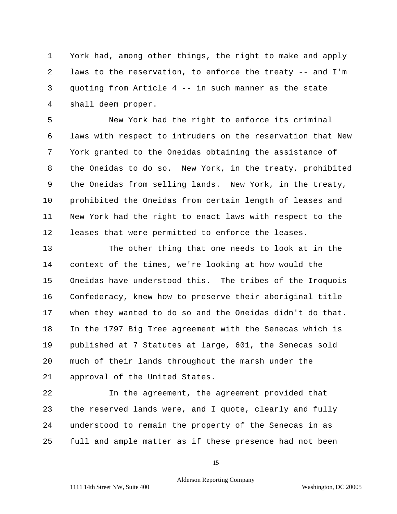1 York had, among other things, the right to make and apply 2 laws to the reservation, to enforce the treaty -- and I'm 3 quoting from Article 4 -- in such manner as the state 4 shall deem proper.

5 New York had the right to enforce its criminal 6 laws with respect to intruders on the reservation that New 7 York granted to the Oneidas obtaining the assistance of 8 the Oneidas to do so. New York, in the treaty, prohibited 9 the Oneidas from selling lands. New York, in the treaty, 10 prohibited the Oneidas from certain length of leases and 11 New York had the right to enact laws with respect to the 12 leases that were permitted to enforce the leases.

13 The other thing that one needs to look at in the 14 context of the times, we're looking at how would the 15 Oneidas have understood this. The tribes of the Iroquois 16 Confederacy, knew how to preserve their aboriginal title 17 when they wanted to do so and the Oneidas didn't do that. 18 In the 1797 Big Tree agreement with the Senecas which is 19 published at 7 Statutes at large, 601, the Senecas sold 20 much of their lands throughout the marsh under the 21 approval of the United States.

22 In the agreement, the agreement provided that 23 the reserved lands were, and I quote, clearly and fully 24 understood to remain the property of the Senecas in as 25 full and ample matter as if these presence had not been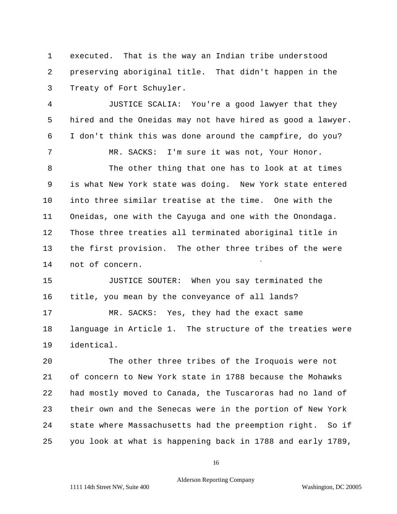1 executed. That is the way an Indian tribe understood 2 preserving aboriginal title. That didn't happen in the 3 Treaty of Fort Schuyler.

4 JUSTICE SCALIA: You're a good lawyer that they 5 hired and the Oneidas may not have hired as good a lawyer. 6 I don't think this was done around the campfire, do you? 7 MR. SACKS: I'm sure it was not, Your Honor.

8 The other thing that one has to look at at times 9 is what New York state was doing. New York state entered 10 into three similar treatise at the time. One with the 11 Oneidas, one with the Cayuga and one with the Onondaga. 12 Those three treaties all terminated aboriginal title in 13 the first provision. The other three tribes of the were 14 not of concern.

15 JUSTICE SOUTER: When you say terminated the 16 title, you mean by the conveyance of all lands? 17 MR. SACKS: Yes, they had the exact same 18 language in Article 1. The structure of the treaties were 19 identical.

20 The other three tribes of the Iroquois were not 21 of concern to New York state in 1788 because the Mohawks 22 had mostly moved to Canada, the Tuscaroras had no land of 23 their own and the Senecas were in the portion of New York 24 state where Massachusetts had the preemption right. So if 25 you look at what is happening back in 1788 and early 1789,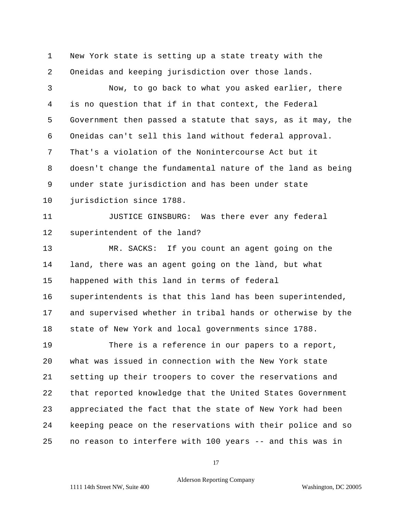1 New York state is setting up a state treaty with the 2 Oneidas and keeping jurisdiction over those lands.

3 Now, to go back to what you asked earlier, there 4 is no question that if in that context, the Federal 5 Government then passed a statute that says, as it may, the 6 Oneidas can't sell this land without federal approval. 7 That's a violation of the Nonintercourse Act but it 8 doesn't change the fundamental nature of the land as being 9 under state jurisdiction and has been under state 10 jurisdiction since 1788.

11 JUSTICE GINSBURG: Was there ever any federal 12 superintendent of the land?

13 MR. SACKS: If you count an agent going on the 14 land, there was an agent going on the land, but what 15 happened with this land in terms of federal 16 superintendents is that this land has been superintended, 17 and supervised whether in tribal hands or otherwise by the 18 state of New York and local governments since 1788.

19 There is a reference in our papers to a report, 20 what was issued in connection with the New York state 21 setting up their troopers to cover the reservations and 22 that reported knowledge that the United States Government 23 appreciated the fact that the state of New York had been 24 keeping peace on the reservations with their police and so 25 no reason to interfere with 100 years -- and this was in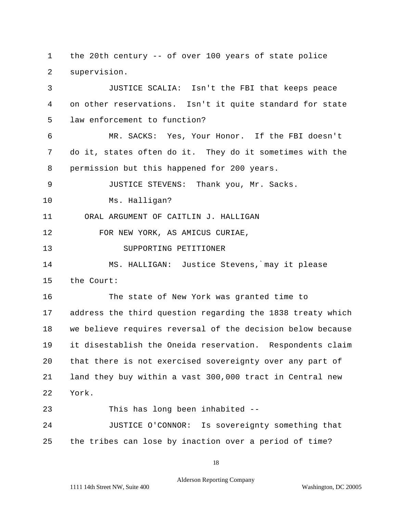1 the 20th century -- of over 100 years of state police 2 supervision.

3 JUSTICE SCALIA: Isn't the FBI that keeps peace 4 on other reservations. Isn't it quite standard for state 5 law enforcement to function? 6 MR. SACKS: Yes, Your Honor. If the FBI doesn't 7 do it, states often do it. They do it sometimes with the 8 permission but this happened for 200 years. 9 JUSTICE STEVENS: Thank you, Mr. Sacks. 10 Ms. Halligan? 11 ORAL ARGUMENT OF CAITLIN J. HALLIGAN 12 FOR NEW YORK, AS AMICUS CURIAE, 13 SUPPORTING PETITIONER 14 MS. HALLIGAN: Justice Stevens, may it please 15 the Court: 16 The state of New York was granted time to 17 address the third question regarding the 1838 treaty which 18 we believe requires reversal of the decision below because 19 it disestablish the Oneida reservation. Respondents claim 20 that there is not exercised sovereignty over any part of 21 land they buy within a vast 300,000 tract in Central new 22 York. 23 This has long been inhabited --

24 JUSTICE O'CONNOR: Is sovereignty something that 25 the tribes can lose by inaction over a period of time?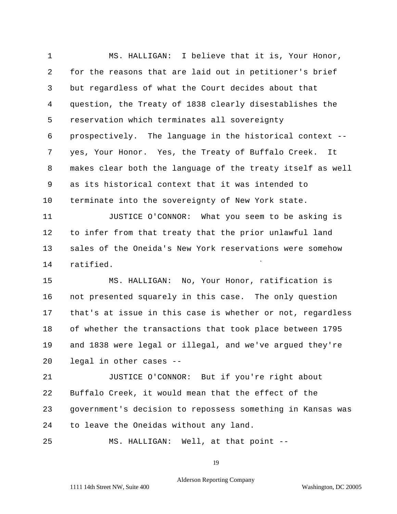1 MS. HALLIGAN: I believe that it is, Your Honor, 2 for the reasons that are laid out in petitioner's brief 3 but regardless of what the Court decides about that 4 question, the Treaty of 1838 clearly disestablishes the 5 reservation which terminates all sovereignty 6 prospectively. The language in the historical context - 7 yes, Your Honor. Yes, the Treaty of Buffalo Creek. It 8 makes clear both the language of the treaty itself as well 9 as its historical context that it was intended to 10 terminate into the sovereignty of New York state.

11 JUSTICE O'CONNOR: What you seem to be asking is 12 to infer from that treaty that the prior unlawful land 13 sales of the Oneida's New York reservations were somehow 14 ratified.

15 MS. HALLIGAN: No, Your Honor, ratification is 16 not presented squarely in this case. The only question 17 that's at issue in this case is whether or not, regardless 18 of whether the transactions that took place between 1795 19 and 1838 were legal or illegal, and we've argued they're 20 legal in other cases --

21 JUSTICE O'CONNOR: But if you're right about 22 Buffalo Creek, it would mean that the effect of the 23 government's decision to repossess something in Kansas was 24 to leave the Oneidas without any land.

25 MS. HALLIGAN: Well, at that point -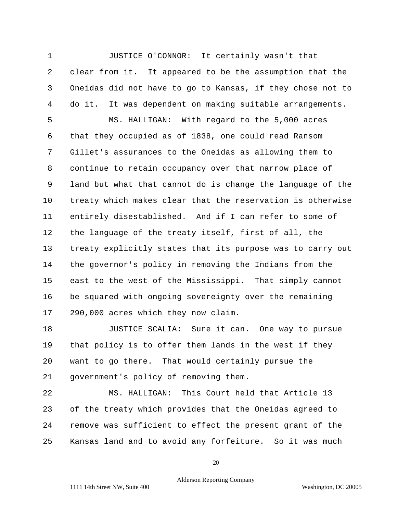1 JUSTICE O'CONNOR: It certainly wasn't that 2 clear from it. It appeared to be the assumption that the 3 Oneidas did not have to go to Kansas, if they chose not to 4 do it. It was dependent on making suitable arrangements.

5 MS. HALLIGAN: With regard to the 5,000 acres 6 that they occupied as of 1838, one could read Ransom 7 Gillet's assurances to the Oneidas as allowing them to 8 continue to retain occupancy over that narrow place of 9 land but what that cannot do is change the language of the 10 treaty which makes clear that the reservation is otherwise 11 entirely disestablished. And if I can refer to some of 12 the language of the treaty itself, first of all, the 13 treaty explicitly states that its purpose was to carry out 14 the governor's policy in removing the Indians from the 15 east to the west of the Mississippi. That simply cannot 16 be squared with ongoing sovereignty over the remaining 17 290,000 acres which they now claim.

18 JUSTICE SCALIA: Sure it can. One way to pursue 19 that policy is to offer them lands in the west if they 20 want to go there. That would certainly pursue the 21 government's policy of removing them.

22 MS. HALLIGAN: This Court held that Article 13 23 of the treaty which provides that the Oneidas agreed to 24 remove was sufficient to effect the present grant of the 25 Kansas land and to avoid any forfeiture. So it was much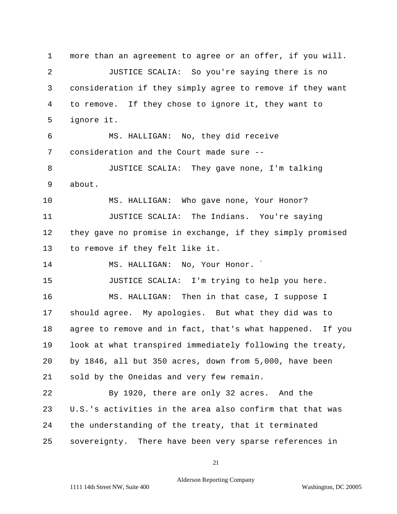1 more than an agreement to agree or an offer, if you will. 2 JUSTICE SCALIA: So you're saying there is no 3 consideration if they simply agree to remove if they want 4 to remove. If they chose to ignore it, they want to 5 ignore it. 6 MS. HALLIGAN: No, they did receive 7 consideration and the Court made sure -- 8 JUSTICE SCALIA: They gave none, I'm talking 9 about. 10 MS. HALLIGAN: Who gave none, Your Honor? 11 JUSTICE SCALIA: The Indians. You're saying 12 they gave no promise in exchange, if they simply promised 13 to remove if they felt like it. 14 MS. HALLIGAN: No, Your Honor. 15 JUSTICE SCALIA: I'm trying to help you here. 16 MS. HALLIGAN: Then in that case, I suppose I 17 should agree. My apologies. But what they did was to 18 agree to remove and in fact, that's what happened. If you 19 look at what transpired immediately following the treaty, 20 by 1846, all but 350 acres, down from 5,000, have been 21 sold by the Oneidas and very few remain. 22 By 1920, there are only 32 acres. And the 23 U.S.'s activities in the area also confirm that that was 24 the understanding of the treaty, that it terminated 25 sovereignty. There have been very sparse references in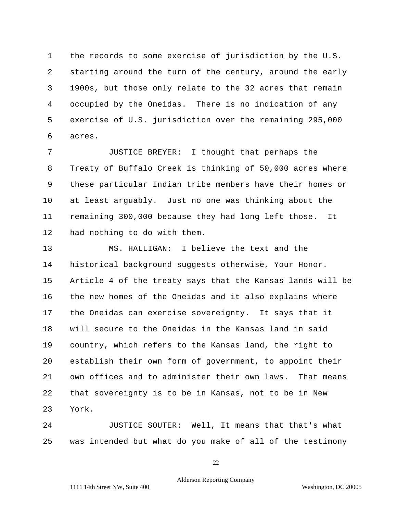1 the records to some exercise of jurisdiction by the U.S. 2 starting around the turn of the century, around the early 3 1900s, but those only relate to the 32 acres that remain 4 occupied by the Oneidas. There is no indication of any 5 exercise of U.S. jurisdiction over the remaining 295,000 6 acres.

7 JUSTICE BREYER: I thought that perhaps the 8 Treaty of Buffalo Creek is thinking of 50,000 acres where 9 these particular Indian tribe members have their homes or 10 at least arguably. Just no one was thinking about the 11 remaining 300,000 because they had long left those. It 12 had nothing to do with them.

13 MS. HALLIGAN: I believe the text and the 14 historical background suggests otherwise, Your Honor. 15 Article 4 of the treaty says that the Kansas lands will be 16 the new homes of the Oneidas and it also explains where 17 the Oneidas can exercise sovereignty. It says that it 18 will secure to the Oneidas in the Kansas land in said 19 country, which refers to the Kansas land, the right to 20 establish their own form of government, to appoint their 21 own offices and to administer their own laws. That means 22 that sovereignty is to be in Kansas, not to be in New 23 York.

24 JUSTICE SOUTER: Well, It means that that's what 25 was intended but what do you make of all of the testimony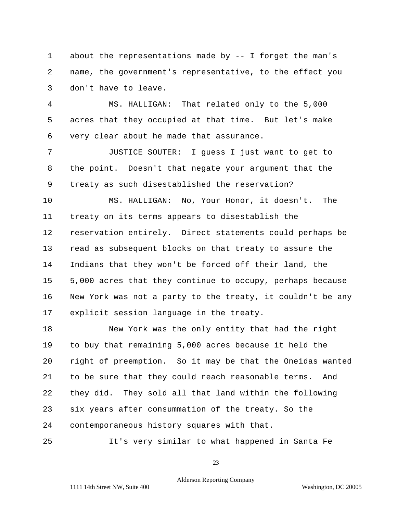1 about the representations made by -- I forget the man's 2 name, the government's representative, to the effect you 3 don't have to leave.

4 MS. HALLIGAN: That related only to the 5,000 5 acres that they occupied at that time. But let's make 6 very clear about he made that assurance.

7 JUSTICE SOUTER: I guess I just want to get to 8 the point. Doesn't that negate your argument that the 9 treaty as such disestablished the reservation?

10 MS. HALLIGAN: No, Your Honor, it doesn't. The 11 treaty on its terms appears to disestablish the 12 reservation entirely. Direct statements could perhaps be 13 read as subsequent blocks on that treaty to assure the 14 Indians that they won't be forced off their land, the 15 5,000 acres that they continue to occupy, perhaps because 16 New York was not a party to the treaty, it couldn't be any 17 explicit session language in the treaty.

18 New York was the only entity that had the right 19 to buy that remaining 5,000 acres because it held the 20 right of preemption. So it may be that the Oneidas wanted 21 to be sure that they could reach reasonable terms. And 22 they did. They sold all that land within the following 23 six years after consummation of the treaty. So the 24 contemporaneous history squares with that.

25 It's very similar to what happened in Santa Fe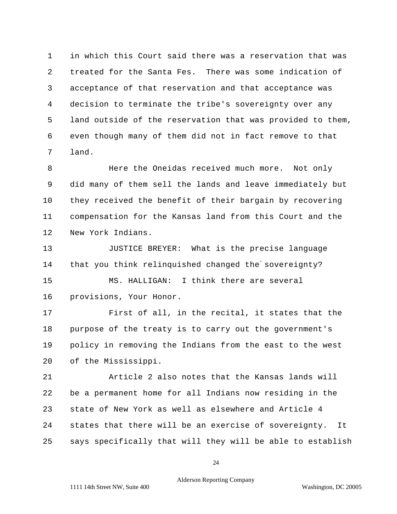1 in which this Court said there was a reservation that was 2 treated for the Santa Fes. There was some indication of 3 acceptance of that reservation and that acceptance was 4 decision to terminate the tribe's sovereignty over any 5 land outside of the reservation that was provided to them, 6 even though many of them did not in fact remove to that 7 land.

8 Here the Oneidas received much more. Not only 9 did many of them sell the lands and leave immediately but 10 they received the benefit of their bargain by recovering 11 compensation for the Kansas land from this Court and the 12 New York Indians.

13 JUSTICE BREYER: What is the precise language 14 that you think relinquished changed the sovereignty? 15 MS. HALLIGAN: I think there are several 16 provisions, Your Honor.

17 First of all, in the recital, it states that the 18 purpose of the treaty is to carry out the government's 19 policy in removing the Indians from the east to the west 20 of the Mississippi.

21 Article 2 also notes that the Kansas lands will 22 be a permanent home for all Indians now residing in the 23 state of New York as well as elsewhere and Article 4 24 states that there will be an exercise of sovereignty. It 25 says specifically that will they will be able to establish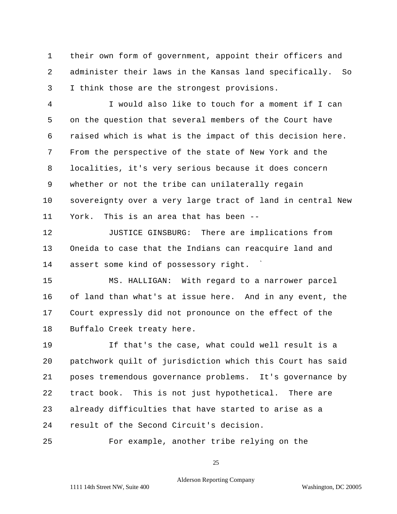1 their own form of government, appoint their officers and 2 administer their laws in the Kansas land specifically. So 3 I think those are the strongest provisions.

4 I would also like to touch for a moment if I can 5 on the question that several members of the Court have 6 raised which is what is the impact of this decision here. 7 From the perspective of the state of New York and the 8 localities, it's very serious because it does concern 9 whether or not the tribe can unilaterally regain 10 sovereignty over a very large tract of land in central New 11 York. This is an area that has been --

12 JUSTICE GINSBURG: There are implications from 13 Oneida to case that the Indians can reacquire land and 14 assert some kind of possessory right.

15 MS. HALLIGAN: With regard to a narrower parcel 16 of land than what's at issue here. And in any event, the 17 Court expressly did not pronounce on the effect of the 18 Buffalo Creek treaty here.

19 If that's the case, what could well result is a 20 patchwork quilt of jurisdiction which this Court has said 21 poses tremendous governance problems. It's governance by 22 tract book. This is not just hypothetical. There are 23 already difficulties that have started to arise as a 24 result of the Second Circuit's decision.

25 For example, another tribe relying on the

25

Alderson Reporting Company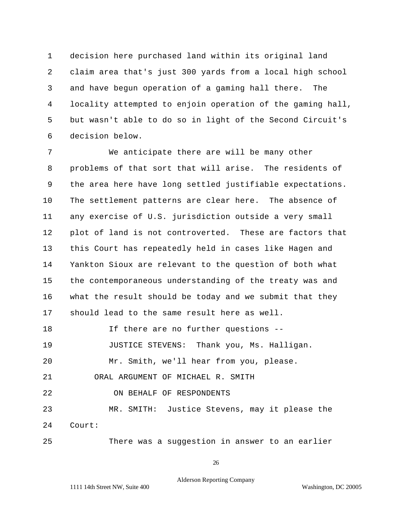1 decision here purchased land within its original land 2 claim area that's just 300 yards from a local high school 3 and have begun operation of a gaming hall there. The 4 locality attempted to enjoin operation of the gaming hall, 5 but wasn't able to do so in light of the Second Circuit's 6 decision below.

7 We anticipate there are will be many other 8 problems of that sort that will arise. The residents of 9 the area here have long settled justifiable expectations. 10 The settlement patterns are clear here. The absence of 11 any exercise of U.S. jurisdiction outside a very small 12 plot of land is not controverted. These are factors that 13 this Court has repeatedly held in cases like Hagen and 14 Yankton Sioux are relevant to the question of both what 15 the contemporaneous understanding of the treaty was and 16 what the result should be today and we submit that they 17 should lead to the same result here as well. 18 If there are no further questions -- 19 JUSTICE STEVENS: Thank you, Ms. Halligan. 20 Mr. Smith, we'll hear from you, please.

21 ORAL ARGUMENT OF MICHAEL R. SMITH

22 ON BEHALF OF RESPONDENTS

23 MR. SMITH: Justice Stevens, may it please the 24 Court:

25 There was a suggestion in answer to an earlier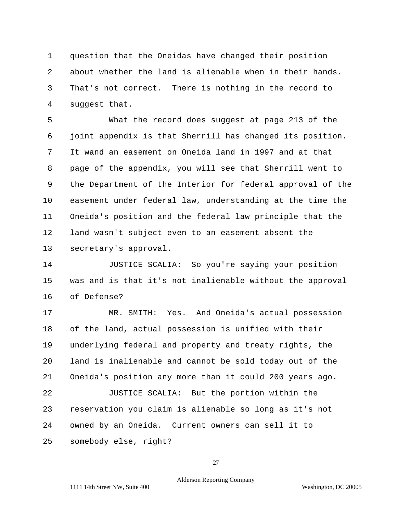1 question that the Oneidas have changed their position 2 about whether the land is alienable when in their hands. 3 That's not correct. There is nothing in the record to 4 suggest that.

5 What the record does suggest at page 213 of the 6 joint appendix is that Sherrill has changed its position. 7 It wand an easement on Oneida land in 1997 and at that 8 page of the appendix, you will see that Sherrill went to 9 the Department of the Interior for federal approval of the 10 easement under federal law, understanding at the time the 11 Oneida's position and the federal law principle that the 12 land wasn't subject even to an easement absent the 13 secretary's approval.

14 JUSTICE SCALIA: So you're saying your position 15 was and is that it's not inalienable without the approval 16 of Defense?

17 MR. SMITH: Yes. And Oneida's actual possession 18 of the land, actual possession is unified with their 19 underlying federal and property and treaty rights, the 20 land is inalienable and cannot be sold today out of the 21 Oneida's position any more than it could 200 years ago. 22 JUSTICE SCALIA: But the portion within the 23 reservation you claim is alienable so long as it's not 24 owned by an Oneida. Current owners can sell it to 25 somebody else, right?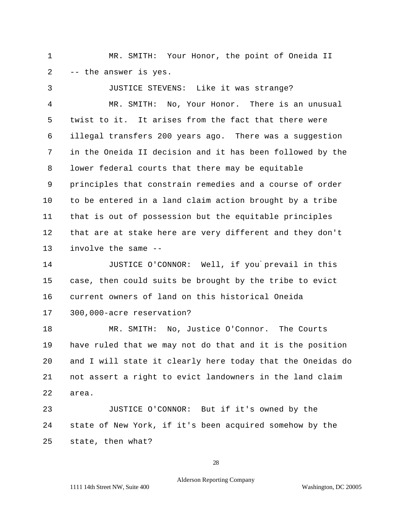1 MR. SMITH: Your Honor, the point of Oneida II 2 -- the answer is yes.

3 JUSTICE STEVENS: Like it was strange? 4 MR. SMITH: No, Your Honor. There is an unusual 5 twist to it. It arises from the fact that there were 6 illegal transfers 200 years ago. There was a suggestion 7 in the Oneida II decision and it has been followed by the 8 lower federal courts that there may be equitable 9 principles that constrain remedies and a course of order 10 to be entered in a land claim action brought by a tribe 11 that is out of possession but the equitable principles 12 that are at stake here are very different and they don't 13 involve the same --

14 JUSTICE O'CONNOR: Well, if you prevail in this 15 case, then could suits be brought by the tribe to evict 16 current owners of land on this historical Oneida 17 300,000-acre reservation?

18 MR. SMITH: No, Justice O'Connor. The Courts 19 have ruled that we may not do that and it is the position 20 and I will state it clearly here today that the Oneidas do 21 not assert a right to evict landowners in the land claim 22 area.

23 JUSTICE O'CONNOR: But if it's owned by the 24 state of New York, if it's been acquired somehow by the 25 state, then what?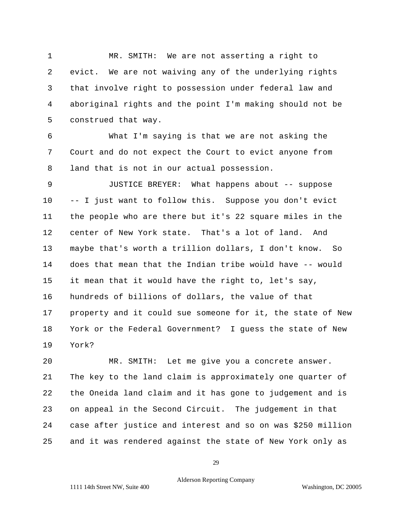1 MR. SMITH: We are not asserting a right to 2 evict. We are not waiving any of the underlying rights 3 that involve right to possession under federal law and 4 aboriginal rights and the point I'm making should not be 5 construed that way.

6 What I'm saying is that we are not asking the 7 Court and do not expect the Court to evict anyone from 8 land that is not in our actual possession.

9 JUSTICE BREYER: What happens about -- suppose 10 -- I just want to follow this. Suppose you don't evict 11 the people who are there but it's 22 square miles in the 12 center of New York state. That's a lot of land. And 13 maybe that's worth a trillion dollars, I don't know. So 14 15 it mean that it would have the right to, let's say, 16 hundreds of billions of dollars, the value of that 17 property and it could sue someone for it, the state of New 18 York or the Federal Government? I guess the state of New 19 York? does that mean that the Indian tribe would have -- would

20 MR. SMITH: Let me give you a concrete answer. 21 The key to the land claim is approximately one quarter of 22 the Oneida land claim and it has gone to judgement and is 23 on appeal in the Second Circuit. The judgement in that 24 case after justice and interest and so on was \$250 million 25 and it was rendered against the state of New York only as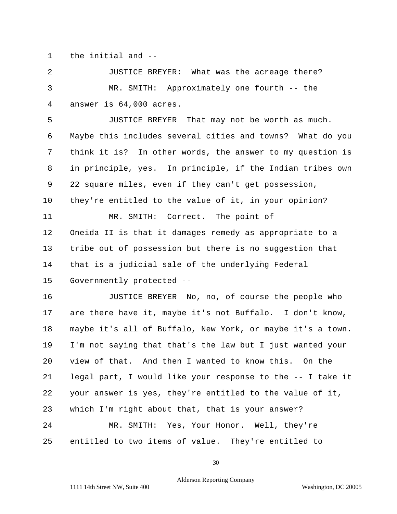1 the initial and --

2 JUSTICE BREYER: What was the acreage there? 3 MR. SMITH: Approximately one fourth -- the 4 answer is 64,000 acres.

5 JUSTICE BREYER That may not be worth as much. 6 Maybe this includes several cities and towns? What do you 7 think it is? In other words, the answer to my question is 8 in principle, yes. In principle, if the Indian tribes own 9 22 square miles, even if they can't get possession, 10 they're entitled to the value of it, in your opinion? 11 MR. SMITH: Correct. The point of 12 Oneida II is that it damages remedy as appropriate to a 13 tribe out of possession but there is no suggestion that 14 that is a judicial sale of the underlying Federal 15 Governmently protected --

16 JUSTICE BREYER No, no, of course the people who 17 are there have it, maybe it's not Buffalo. I don't know, 18 maybe it's all of Buffalo, New York, or maybe it's a town. 19 I'm not saying that that's the law but I just wanted your 20 view of that. And then I wanted to know this. On the 21 legal part, I would like your response to the -- I take it 22 your answer is yes, they're entitled to the value of it, 23 which I'm right about that, that is your answer? 24 MR. SMITH: Yes, Your Honor. Well, they're 25 entitled to two items of value. They're entitled to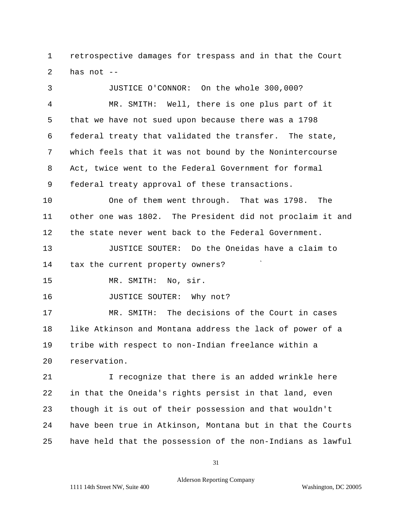1 retrospective damages for trespass and in that the Court 2 has not --

3 JUSTICE O'CONNOR: On the whole 300,000? 4 MR. SMITH: Well, there is one plus part of it 5 that we have not sued upon because there was a 1798 6 federal treaty that validated the transfer. The state, 7 which feels that it was not bound by the Nonintercourse 8 Act, twice went to the Federal Government for formal 9 federal treaty approval of these transactions. 10 One of them went through. That was 1798. The 11 other one was 1802. The President did not proclaim it and 12 the state never went back to the Federal Government.

13 JUSTICE SOUTER: Do the Oneidas have a claim to 14 tax the current property owners?

15 MR. SMITH: No, sir.

16 **JUSTICE SOUTER:** Why not?

17 MR. SMITH: The decisions of the Court in cases 18 like Atkinson and Montana address the lack of power of a 19 tribe with respect to non-Indian freelance within a 20 reservation.

21 I recognize that there is an added wrinkle here 22 in that the Oneida's rights persist in that land, even 23 though it is out of their possession and that wouldn't 24 have been true in Atkinson, Montana but in that the Courts 25 have held that the possession of the non-Indians as lawful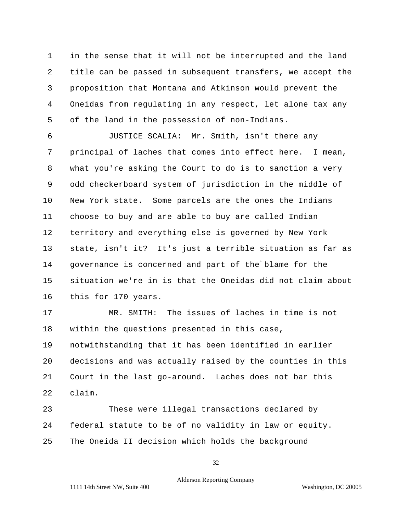1 in the sense that it will not be interrupted and the land 2 title can be passed in subsequent transfers, we accept the 3 proposition that Montana and Atkinson would prevent the 4 Oneidas from regulating in any respect, let alone tax any 5 of the land in the possession of non-Indians.

6 JUSTICE SCALIA: Mr. Smith, isn't there any 7 principal of laches that comes into effect here. I mean, 8 what you're asking the Court to do is to sanction a very 9 odd checkerboard system of jurisdiction in the middle of 10 New York state. Some parcels are the ones the Indians 11 choose to buy and are able to buy are called Indian 12 territory and everything else is governed by New York 13 state, isn't it? It's just a terrible situation as far as 14 governance is concerned and part of the blame for the 15 situation we're in is that the Oneidas did not claim about 16 this for 170 years.

17 MR. SMITH: The issues of laches in time is not 18 within the questions presented in this case, 19 notwithstanding that it has been identified in earlier 20 decisions and was actually raised by the counties in this 21 Court in the last go-around. Laches does not bar this 22 claim.

23 These were illegal transactions declared by 24 federal statute to be of no validity in law or equity. 25 The Oneida II decision which holds the background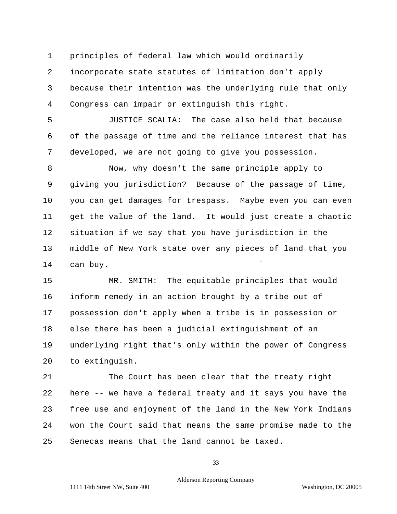1 principles of federal law which would ordinarily

2 incorporate state statutes of limitation don't apply 3 because their intention was the underlying rule that only 4 Congress can impair or extinguish this right.

5 JUSTICE SCALIA: The case also held that because 6 of the passage of time and the reliance interest that has 7 developed, we are not going to give you possession.

8 Now, why doesn't the same principle apply to 9 giving you jurisdiction? Because of the passage of time, 10 you can get damages for trespass. Maybe even you can even 11 get the value of the land. It would just create a chaotic 12 situation if we say that you have jurisdiction in the 13 middle of New York state over any pieces of land that you 14 can buy.

15 MR. SMITH: The equitable principles that would 16 inform remedy in an action brought by a tribe out of 17 possession don't apply when a tribe is in possession or 18 else there has been a judicial extinguishment of an 19 underlying right that's only within the power of Congress 20 to extinguish.

21 The Court has been clear that the treaty right 22 here -- we have a federal treaty and it says you have the 23 free use and enjoyment of the land in the New York Indians 24 won the Court said that means the same promise made to the 25 Senecas means that the land cannot be taxed.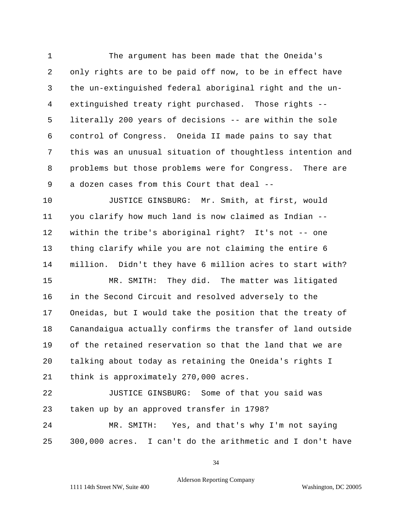1 The argument has been made that the Oneida's 2 only rights are to be paid off now, to be in effect have 3 the un-extinguished federal aboriginal right and the un-4 extinguished treaty right purchased. Those rights - 5 literally 200 years of decisions -- are within the sole 6 control of Congress. Oneida II made pains to say that 7 this was an unusual situation of thoughtless intention and 8 problems but those problems were for Congress. There are 9 a dozen cases from this Court that deal --

10 JUSTICE GINSBURG: Mr. Smith, at first, would 11 you clarify how much land is now claimed as Indian - 12 within the tribe's aboriginal right? It's not -- one 13 thing clarify while you are not claiming the entire 6 14 million. Didn't they have 6 million acres to start with? 15 MR. SMITH: They did. The matter was litigated 16 in the Second Circuit and resolved adversely to the 17 Oneidas, but I would take the position that the treaty of 18 Canandaigua actually confirms the transfer of land outside 19 of the retained reservation so that the land that we are

20 talking about today as retaining the Oneida's rights I 21 think is approximately 270,000 acres.

22 JUSTICE GINSBURG: Some of that you said was 23 taken up by an approved transfer in 1798?

24 MR. SMITH: Yes, and that's why I'm not saying 25 300,000 acres. I can't do the arithmetic and I don't have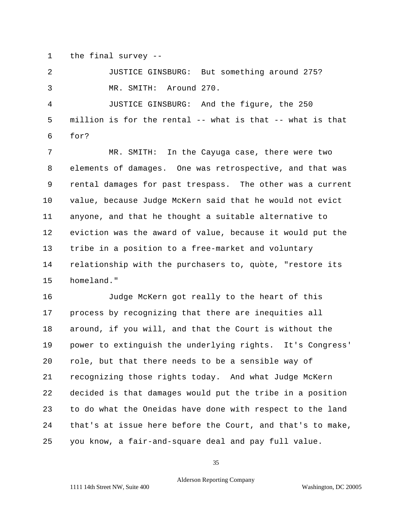1 the final survey --

2 JUSTICE GINSBURG: But something around 275? 3 MR. SMITH: Around 270.

4 JUSTICE GINSBURG: And the figure, the 250 5 million is for the rental -- what is that -- what is that 6 for?

7 MR. SMITH: In the Cayuga case, there were two 8 elements of damages. One was retrospective, and that was 9 rental damages for past trespass. The other was a current 10 value, because Judge McKern said that he would not evict 11 anyone, and that he thought a suitable alternative to 12 eviction was the award of value, because it would put the 13 tribe in a position to a free-market and voluntary 14 relationship with the purchasers to, quote, "restore its 15 homeland."

16 Judge McKern got really to the heart of this 17 process by recognizing that there are inequities all 18 around, if you will, and that the Court is without the 19 power to extinguish the underlying rights. It's Congress' 20 role, but that there needs to be a sensible way of 21 recognizing those rights today. And what Judge McKern 22 decided is that damages would put the tribe in a position 23 to do what the Oneidas have done with respect to the land 24 that's at issue here before the Court, and that's to make, 25 you know, a fair-and-square deal and pay full value.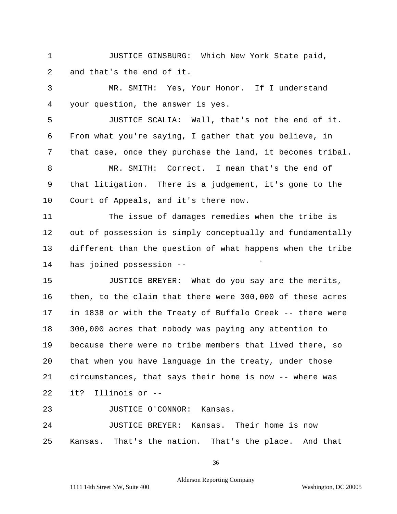1 JUSTICE GINSBURG: Which New York State paid, 2 and that's the end of it.

3 MR. SMITH: Yes, Your Honor. If I understand 4 your question, the answer is yes.

5 JUSTICE SCALIA: Wall, that's not the end of it. 6 From what you're saying, I gather that you believe, in 7 that case, once they purchase the land, it becomes tribal. 8 MR. SMITH: Correct. I mean that's the end of 9 that litigation. There is a judgement, it's gone to the 10 Court of Appeals, and it's there now.

11 The issue of damages remedies when the tribe is 12 out of possession is simply conceptually and fundamentally 13 different than the question of what happens when the tribe 14 has joined possession -

15 JUSTICE BREYER: What do you say are the merits, 16 then, to the claim that there were 300,000 of these acres 17 in 1838 or with the Treaty of Buffalo Creek -- there were 18 300,000 acres that nobody was paying any attention to 19 because there were no tribe members that lived there, so 20 that when you have language in the treaty, under those 21 circumstances, that says their home is now -- where was 22 it? Illinois or -

23 JUSTICE O'CONNOR: Kansas.

24 JUSTICE BREYER: Kansas. Their home is now 25 Kansas. That's the nation. That's the place. And that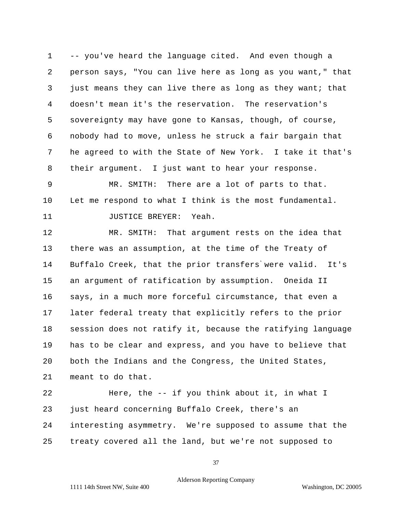1 -- you've heard the language cited. And even though a 2 person says, "You can live here as long as you want," that 3 just means they can live there as long as they want; that 4 doesn't mean it's the reservation. The reservation's 5 sovereignty may have gone to Kansas, though, of course, 6 nobody had to move, unless he struck a fair bargain that 7 he agreed to with the State of New York. I take it that's 8 their argument. I just want to hear your response.

9 MR. SMITH: There are a lot of parts to that. 10 Let me respond to what I think is the most fundamental. 11 JUSTICE BREYER: Yeah.

12 MR. SMITH: That argument rests on the idea that 13 there was an assumption, at the time of the Treaty of 14 Buffalo Creek, that the prior transfers were valid. It's 15 an argument of ratification by assumption. Oneida II 16 says, in a much more forceful circumstance, that even a 17 later federal treaty that explicitly refers to the prior 18 session does not ratify it, because the ratifying language 19 has to be clear and express, and you have to believe that 20 both the Indians and the Congress, the United States, 21 meant to do that.

22 Here, the -- if you think about it, in what I 23 just heard concerning Buffalo Creek, there's an 24 interesting asymmetry. We're supposed to assume that the 25 treaty covered all the land, but we're not supposed to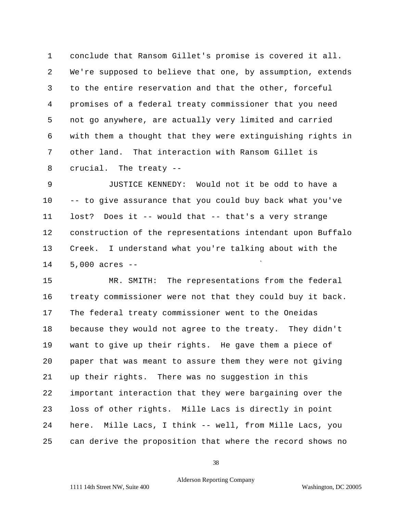1 conclude that Ransom Gillet's promise is covered it all. 2 We're supposed to believe that one, by assumption, extends 3 to the entire reservation and that the other, forceful 4 promises of a federal treaty commissioner that you need 5 not go anywhere, are actually very limited and carried 6 with them a thought that they were extinguishing rights in 7 other land. That interaction with Ransom Gillet is 8 crucial. The treaty -

9 JUSTICE KENNEDY: Would not it be odd to have a 10 -- to give assurance that you could buy back what you've 11 lost? Does it -- would that -- that's a very strange 12 construction of the representations intendant upon Buffalo 13 Creek. I understand what you're talking about with the 14 5,000 acres --

15 MR. SMITH: The representations from the federal 16 treaty commissioner were not that they could buy it back. 17 The federal treaty commissioner went to the Oneidas 18 because they would not agree to the treaty. They didn't 19 want to give up their rights. He gave them a piece of 20 paper that was meant to assure them they were not giving 21 up their rights. There was no suggestion in this 22 important interaction that they were bargaining over the 23 loss of other rights. Mille Lacs is directly in point 24 here. Mille Lacs, I think -- well, from Mille Lacs, you 25 can derive the proposition that where the record shows no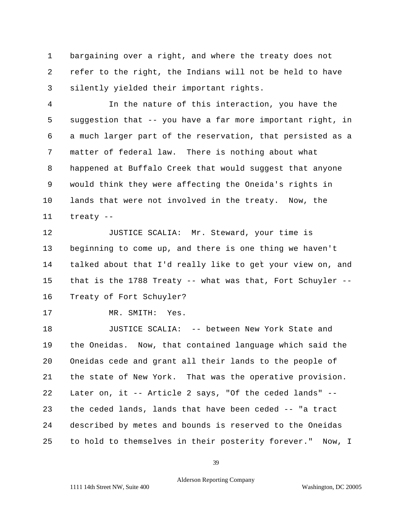1 bargaining over a right, and where the treaty does not 2 refer to the right, the Indians will not be held to have 3 silently yielded their important rights.

4 In the nature of this interaction, you have the 5 suggestion that -- you have a far more important right, in 6 a much larger part of the reservation, that persisted as a 7 matter of federal law. There is nothing about what 8 happened at Buffalo Creek that would suggest that anyone 9 would think they were affecting the Oneida's rights in 10 lands that were not involved in the treaty. Now, the 11 treaty -

12 JUSTICE SCALIA: Mr. Steward, your time is 13 beginning to come up, and there is one thing we haven't 14 talked about that I'd really like to get your view on, and 15 that is the 1788 Treaty -- what was that, Fort Schuyler - 16 Treaty of Fort Schuyler?

```
17 MR. SMITH: Yes.
```
18 JUSTICE SCALIA: -- between New York State and 19 the Oneidas. Now, that contained language which said the 20 Oneidas cede and grant all their lands to the people of 21 the state of New York. That was the operative provision. 22 Later on, it -- Article 2 says, "Of the ceded lands" - 23 the ceded lands, lands that have been ceded -- "a tract 24 described by metes and bounds is reserved to the Oneidas 25 to hold to themselves in their posterity forever." Now, I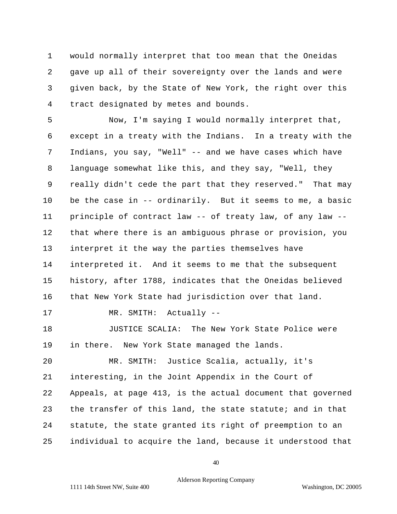1 would normally interpret that too mean that the Oneidas 2 gave up all of their sovereignty over the lands and were 3 given back, by the State of New York, the right over this 4 tract designated by metes and bounds.

5 Now, I'm saying I would normally interpret that, 6 except in a treaty with the Indians. In a treaty with the 7 Indians, you say, "Well" -- and we have cases which have 8 language somewhat like this, and they say, "Well, they 9 really didn't cede the part that they reserved." That may 10 be the case in -- ordinarily. But it seems to me, a basic 11 principle of contract law -- of treaty law, of any law - 12 that where there is an ambiguous phrase or provision, you 13 interpret it the way the parties themselves have 14 interpreted it. And it seems to me that the subsequent 15 history, after 1788, indicates that the Oneidas believed 16 that New York State had jurisdiction over that land. 17 MR. SMITH: Actually --18 JUSTICE SCALIA: The New York State Police were 19 in there. New York State managed the lands. 20 MR. SMITH: Justice Scalia, actually, it's 21 interesting, in the Joint Appendix in the Court of

22 Appeals, at page 413, is the actual document that governed 23 the transfer of this land, the state statute; and in that 24 statute, the state granted its right of preemption to an 25 individual to acquire the land, because it understood that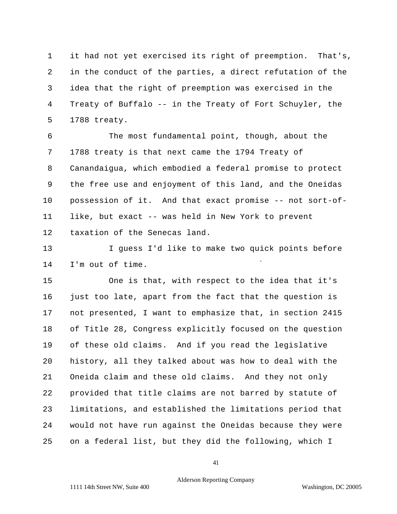1 it had not yet exercised its right of preemption. That's, 2 in the conduct of the parties, a direct refutation of the 3 idea that the right of preemption was exercised in the 4 Treaty of Buffalo -- in the Treaty of Fort Schuyler, the 5 1788 treaty.

6 The most fundamental point, though, about the 7 1788 treaty is that next came the 1794 Treaty of 8 Canandaigua, which embodied a federal promise to protect 9 the free use and enjoyment of this land, and the Oneidas 10 possession of it. And that exact promise -- not sort-of-11 like, but exact -- was held in New York to prevent 12 taxation of the Senecas land.

13 I guess I'd like to make two quick points before 14 I'm out of time.

15 One is that, with respect to the idea that it's 16 just too late, apart from the fact that the question is 17 not presented, I want to emphasize that, in section 2415 18 of Title 28, Congress explicitly focused on the question 19 of these old claims. And if you read the legislative 20 history, all they talked about was how to deal with the 21 Oneida claim and these old claims. And they not only 22 provided that title claims are not barred by statute of 23 limitations, and established the limitations period that 24 would not have run against the Oneidas because they were 25 on a federal list, but they did the following, which I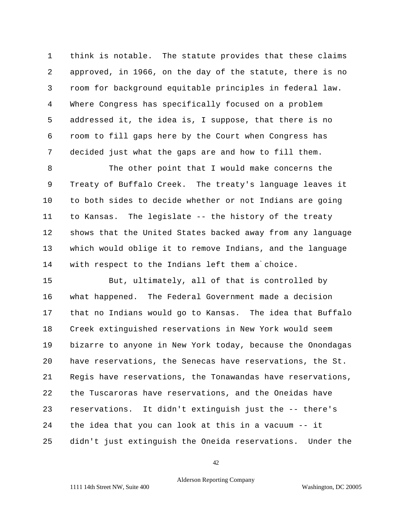1 think is notable. The statute provides that these claims 2 approved, in 1966, on the day of the statute, there is no 3 room for background equitable principles in federal law. 4 Where Congress has specifically focused on a problem 5 addressed it, the idea is, I suppose, that there is no 6 room to fill gaps here by the Court when Congress has 7 decided just what the gaps are and how to fill them.

8 The other point that I would make concerns the 9 Treaty of Buffalo Creek. The treaty's language leaves it 10 to both sides to decide whether or not Indians are going 11 to Kansas. The legislate -- the history of the treaty 12 shows that the United States backed away from any language 13 which would oblige it to remove Indians, and the language 14 with respect to the Indians left them a choice.

15 But, ultimately, all of that is controlled by 16 what happened. The Federal Government made a decision 17 that no Indians would go to Kansas. The idea that Buffalo 18 Creek extinguished reservations in New York would seem 19 bizarre to anyone in New York today, because the Onondagas 20 have reservations, the Senecas have reservations, the St. 21 Regis have reservations, the Tonawandas have reservations, 22 the Tuscaroras have reservations, and the Oneidas have 23 reservations. It didn't extinguish just the -- there's 24 the idea that you can look at this in a vacuum -- it 25 didn't just extinguish the Oneida reservations. Under the

42

## Alderson Reporting Company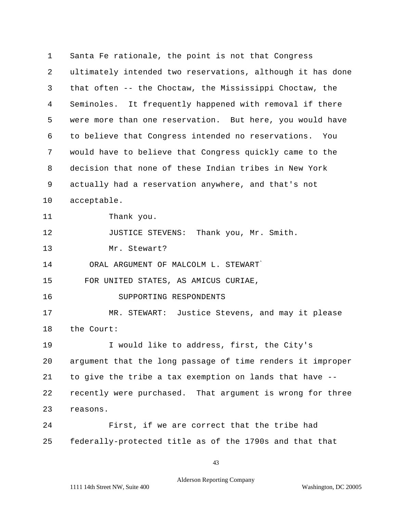1 Santa Fe rationale, the point is not that Congress 2 ultimately intended two reservations, although it has done 3 that often -- the Choctaw, the Mississippi Choctaw, the 4 Seminoles. It frequently happened with removal if there 5 were more than one reservation. But here, you would have 6 to believe that Congress intended no reservations. You 7 would have to believe that Congress quickly came to the 8 decision that none of these Indian tribes in New York 9 actually had a reservation anywhere, and that's not 10 acceptable. 11 Thank you. 12 JUSTICE STEVENS: Thank you, Mr. Smith. 13 Mr. Stewart? 14 ORAL ARGUMENT OF MALCOLM L. STEWART 15 FOR UNITED STATES, AS AMICUS CURIAE, 16 SUPPORTING RESPONDENTS 17 MR. STEWART: Justice Stevens, and may it please 18 the Court: 19 I would like to address, first, the City's 20 argument that the long passage of time renders it improper 21 to give the tribe a tax exemption on lands that have - 22 recently were purchased. That argument is wrong for three 23 reasons. 24 First, if we are correct that the tribe had 25 federally-protected title as of the 1790s and that that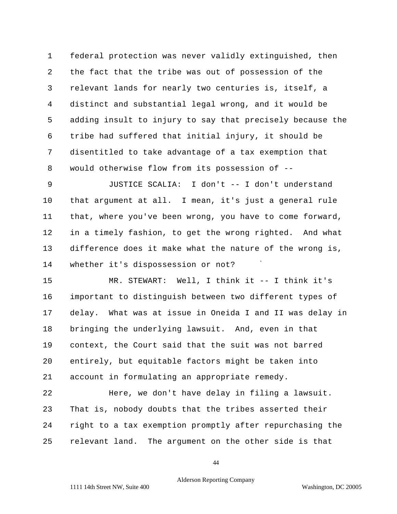1 federal protection was never validly extinguished, then 2 the fact that the tribe was out of possession of the 3 relevant lands for nearly two centuries is, itself, a 4 distinct and substantial legal wrong, and it would be 5 adding insult to injury to say that precisely because the 6 tribe had suffered that initial injury, it should be 7 disentitled to take advantage of a tax exemption that 8 would otherwise flow from its possession of --

9 JUSTICE SCALIA: I don't -- I don't understand 10 that argument at all. I mean, it's just a general rule 11 that, where you've been wrong, you have to come forward, 12 in a timely fashion, to get the wrong righted. And what 13 difference does it make what the nature of the wrong is, 14 whether it's dispossession or not?

15 MR. STEWART: Well, I think it -- I think it's 16 important to distinguish between two different types of 17 delay. What was at issue in Oneida I and II was delay in 18 bringing the underlying lawsuit. And, even in that 19 context, the Court said that the suit was not barred 20 entirely, but equitable factors might be taken into 21 account in formulating an appropriate remedy.

22 Here, we don't have delay in filing a lawsuit. 23 That is, nobody doubts that the tribes asserted their 24 right to a tax exemption promptly after repurchasing the 25 relevant land. The argument on the other side is that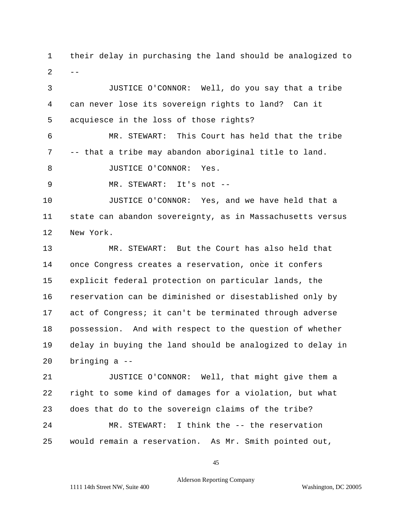$-$ 1 their delay in purchasing the land should be analogized to 2

3 JUSTICE O'CONNOR: Well, do you say that a tribe 4 can never lose its sovereign rights to land? Can it 5 acquiesce in the loss of those rights? 6 MR. STEWART: This Court has held that the tribe 7 -- that a tribe may abandon aboriginal title to land. 8 JUSTICE O'CONNOR: Yes. 9 MR. STEWART: It's not --10 JUSTICE O'CONNOR: Yes, and we have held that a 11 state can abandon sovereignty, as in Massachusetts versus 12 New York. 13 MR. STEWART: But the Court has also held that 14 once Congress creates a reservation, once it confers 15 explicit federal protection on particular lands, the 16 reservation can be diminished or disestablished only by 17 act of Congress; it can't be terminated through adverse 18 possession. And with respect to the question of whether 19 delay in buying the land should be analogized to delay in 20 bringing a --

21 JUSTICE O'CONNOR: Well, that might give them a 22 right to some kind of damages for a violation, but what 23 does that do to the sovereign claims of the tribe? 24 MR. STEWART: I think the -- the reservation 25 would remain a reservation. As Mr. Smith pointed out,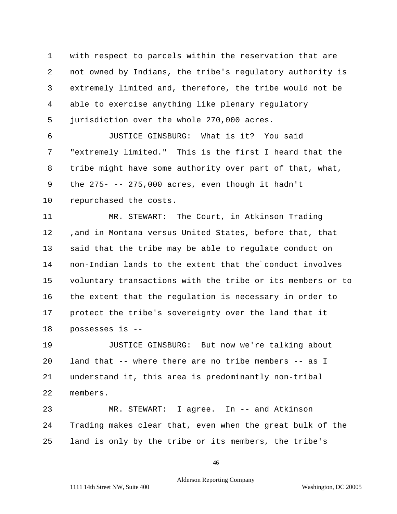1 with respect to parcels within the reservation that are 2 not owned by Indians, the tribe's regulatory authority is 3 extremely limited and, therefore, the tribe would not be 4 able to exercise anything like plenary regulatory 5 jurisdiction over the whole 270,000 acres.

6 JUSTICE GINSBURG: What is it? You said 7 "extremely limited." This is the first I heard that the 8 tribe might have some authority over part of that, what, 9 the 275- -- 275,000 acres, even though it hadn't 10 repurchased the costs.

11 MR. STEWART: The Court, in Atkinson Trading 12 ,and in Montana versus United States, before that, that 13 said that the tribe may be able to regulate conduct on 14 15 voluntary transactions with the tribe or its members or to 16 the extent that the regulation is necessary in order to 17 protect the tribe's sovereignty over the land that it 18 possesses is non-Indian lands to the extent that the conduct involves

19 JUSTICE GINSBURG: But now we're talking about 20 land that -- where there are no tribe members -- as I 21 understand it, this area is predominantly non-tribal 22 members.

23 MR. STEWART: I agree. In -- and Atkinson 24 Trading makes clear that, even when the great bulk of the 25 land is only by the tribe or its members, the tribe's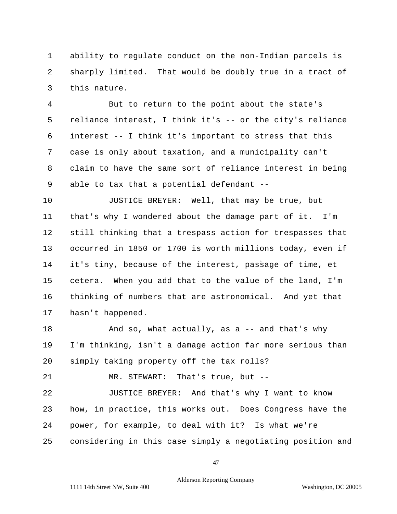1 ability to regulate conduct on the non-Indian parcels is 2 sharply limited. That would be doubly true in a tract of 3 this nature.

4 But to return to the point about the state's 5 reliance interest, I think it's -- or the city's reliance 6 interest -- I think it's important to stress that this 7 case is only about taxation, and a municipality can't 8 claim to have the same sort of reliance interest in being 9 able to tax that a potential defendant --

10 JUSTICE BREYER: Well, that may be true, but 11 that's why I wondered about the damage part of it. I'm 12 still thinking that a trespass action for trespasses that 13 occurred in 1850 or 1700 is worth millions today, even if 14 it's tiny, because of the interest, passage of time, et 15 cetera. When you add that to the value of the land, I'm 16 thinking of numbers that are astronomical. And yet that 17 hasn't happened.

18 And so, what actually, as a -- and that's why 19 I'm thinking, isn't a damage action far more serious than 20 simply taking property off the tax rolls?

21 MR. STEWART: That's true, but -

22 JUSTICE BREYER: And that's why I want to know 23 how, in practice, this works out. Does Congress have the 24 power, for example, to deal with it? Is what we're 25 considering in this case simply a negotiating position and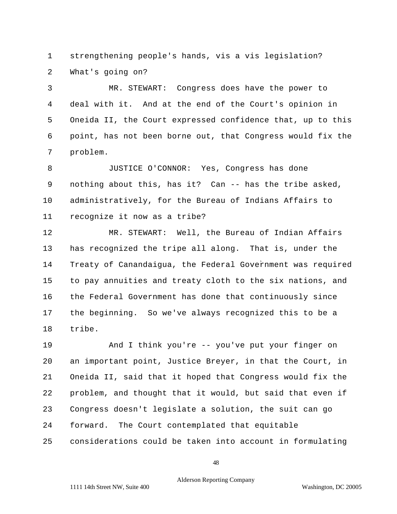1 strengthening people's hands, vis a vis legislation? 2 What's going on?

3 MR. STEWART: Congress does have the power to 4 deal with it. And at the end of the Court's opinion in 5 Oneida II, the Court expressed confidence that, up to this 6 point, has not been borne out, that Congress would fix the 7 problem.

8 JUSTICE O'CONNOR: Yes, Congress has done 9 nothing about this, has it? Can -- has the tribe asked, 10 administratively, for the Bureau of Indians Affairs to 11 recognize it now as a tribe?

12 MR. STEWART: Well, the Bureau of Indian Affairs 13 has recognized the tripe all along. That is, under the 14 Treaty of Canandaigua, the Federal Government was required 15 to pay annuities and treaty cloth to the six nations, and 16 the Federal Government has done that continuously since 17 the beginning. So we've always recognized this to be a 18 tribe.

19 And I think you're -- you've put your finger on 20 an important point, Justice Breyer, in that the Court, in 21 Oneida II, said that it hoped that Congress would fix the 22 problem, and thought that it would, but said that even if 23 Congress doesn't legislate a solution, the suit can go 24 forward. The Court contemplated that equitable 25 considerations could be taken into account in formulating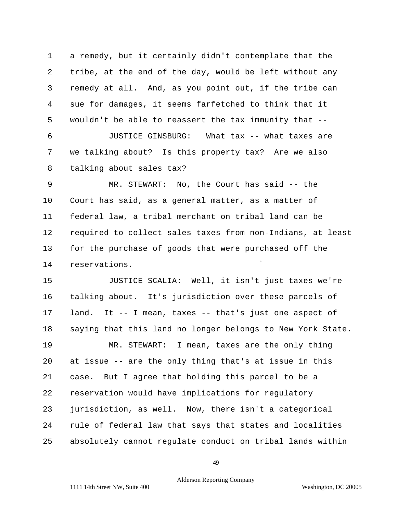1 a remedy, but it certainly didn't contemplate that the 2 tribe, at the end of the day, would be left without any 3 remedy at all. And, as you point out, if the tribe can 4 sue for damages, it seems farfetched to think that it 5 wouldn't be able to reassert the tax immunity that - 6 JUSTICE GINSBURG: What tax -- what taxes are 7 we talking about? Is this property tax? Are we also 8 talking about sales tax?

9 MR. STEWART: No, the Court has said -- the 10 Court has said, as a general matter, as a matter of 11 federal law, a tribal merchant on tribal land can be 12 required to collect sales taxes from non-Indians, at least 13 for the purchase of goods that were purchased off the 14 reservations.

15 JUSTICE SCALIA: Well, it isn't just taxes we're 16 talking about. It's jurisdiction over these parcels of 17 land. It -- I mean, taxes -- that's just one aspect of 18 saying that this land no longer belongs to New York State. 19 MR. STEWART: I mean, taxes are the only thing 20 at issue -- are the only thing that's at issue in this 21 case. But I agree that holding this parcel to be a 22 reservation would have implications for regulatory 23 jurisdiction, as well. Now, there isn't a categorical 24 rule of federal law that says that states and localities 25 absolutely cannot regulate conduct on tribal lands within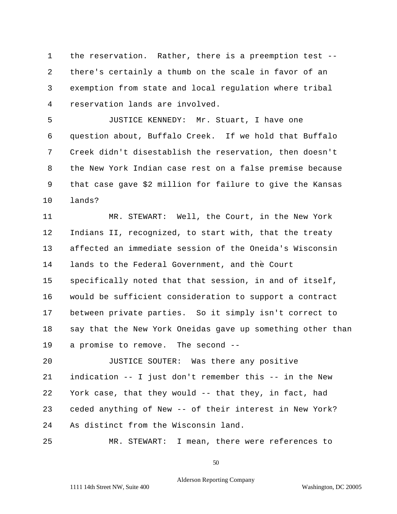1 the reservation. Rather, there is a preemption test - 2 there's certainly a thumb on the scale in favor of an 3 exemption from state and local regulation where tribal 4 reservation lands are involved.

5 JUSTICE KENNEDY: Mr. Stuart, I have one 6 question about, Buffalo Creek. If we hold that Buffalo 7 Creek didn't disestablish the reservation, then doesn't 8 the New York Indian case rest on a false premise because 9 that case gave \$2 million for failure to give the Kansas 10 lands?

11 MR. STEWART: Well, the Court, in the New York 12 Indians II, recognized, to start with, that the treaty 13 affected an immediate session of the Oneida's Wisconsin 14 15 specifically noted that that session, in and of itself, 16 would be sufficient consideration to support a contract 17 between private parties. So it simply isn't correct to 18 say that the New York Oneidas gave up something other than 19 a promise to remove. The second - lands to the Federal Government, and the Court

20 JUSTICE SOUTER: Was there any positive 21 indication -- I just don't remember this -- in the New 22 York case, that they would -- that they, in fact, had 23 ceded anything of New -- of their interest in New York? 24 As distinct from the Wisconsin land.

25 MR. STEWART: I mean, there were references to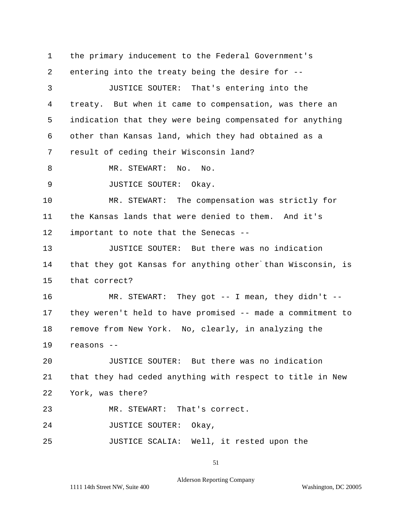1 the primary inducement to the Federal Government's 2 entering into the treaty being the desire for - 3 JUSTICE SOUTER: That's entering into the 4 treaty. But when it came to compensation, was there an 5 indication that they were being compensated for anything 6 other than Kansas land, which they had obtained as a 7 result of ceding their Wisconsin land? 8 MR. STEWART: No. No. 9 JUSTICE SOUTER: Okay. 10 MR. STEWART: The compensation was strictly for 11 the Kansas lands that were denied to them. And it's 12 important to note that the Senecas -- 13 JUSTICE SOUTER: But there was no indication 14 that they got Kansas for anything other than Wisconsin, is 15 that correct? 16 MR. STEWART: They got -- I mean, they didn't - 17 they weren't held to have promised -- made a commitment to 18 remove from New York. No, clearly, in analyzing the 19 reasons -- 20 JUSTICE SOUTER: But there was no indication 21 that they had ceded anything with respect to title in New 22 York, was there? 23 MR. STEWART: That's correct. 24 JUSTICE SOUTER: Okay, 25 JUSTICE SCALIA: Well, it rested upon the

51

Alderson Reporting Company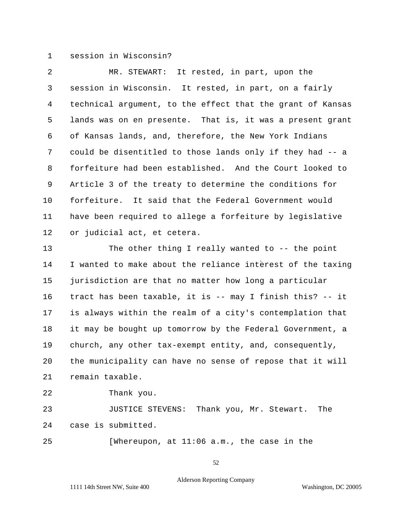## 1 session in Wisconsin?

2 MR. STEWART: It rested, in part, upon the 3 session in Wisconsin. It rested, in part, on a fairly 4 technical argument, to the effect that the grant of Kansas 5 lands was on en presente. That is, it was a present grant 6 of Kansas lands, and, therefore, the New York Indians 7 could be disentitled to those lands only if they had -- a 8 forfeiture had been established. And the Court looked to 9 Article 3 of the treaty to determine the conditions for 10 forfeiture. It said that the Federal Government would 11 have been required to allege a forfeiture by legislative 12 or judicial act, et cetera.

13 The other thing I really wanted to -- the point 14 I wanted to make about the reliance interest of the taxing 15 jurisdiction are that no matter how long a particular 16 tract has been taxable, it is -- may I finish this? -- it 17 is always within the realm of a city's contemplation that 18 it may be bought up tomorrow by the Federal Government, a 19 church, any other tax-exempt entity, and, consequently, 20 the municipality can have no sense of repose that it will 21 remain taxable.

22 Thank you.

23 JUSTICE STEVENS: Thank you, Mr. Stewart. The 24 case is submitted.

25 [Whereupon, at 11:06 a.m., the case in the